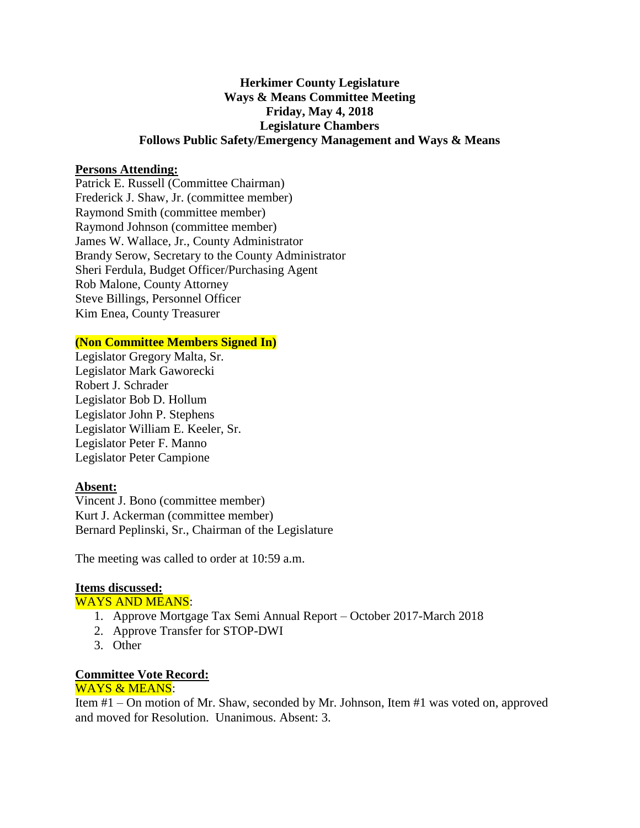## **Herkimer County Legislature Ways & Means Committee Meeting Friday, May 4, 2018 Legislature Chambers Follows Public Safety/Emergency Management and Ways & Means**

## **Persons Attending:**

Patrick E. Russell (Committee Chairman) Frederick J. Shaw, Jr. (committee member) Raymond Smith (committee member) Raymond Johnson (committee member) James W. Wallace, Jr., County Administrator Brandy Serow, Secretary to the County Administrator Sheri Ferdula, Budget Officer/Purchasing Agent Rob Malone, County Attorney Steve Billings, Personnel Officer Kim Enea, County Treasurer

#### **(Non Committee Members Signed In)**

Legislator Gregory Malta, Sr. Legislator Mark Gaworecki Robert J. Schrader Legislator Bob D. Hollum Legislator John P. Stephens Legislator William E. Keeler, Sr. Legislator Peter F. Manno Legislator Peter Campione

#### **Absent:**

Vincent J. Bono (committee member) Kurt J. Ackerman (committee member) Bernard Peplinski, Sr., Chairman of the Legislature

The meeting was called to order at 10:59 a.m.

## **Items discussed:**

WAYS AND MEANS:

- 1. Approve Mortgage Tax Semi Annual Report October 2017-March 2018
- 2. Approve Transfer for STOP-DWI
- 3. Other

# **Committee Vote Record:**

## WAYS & MEANS:

Item #1 – On motion of Mr. Shaw, seconded by Mr. Johnson, Item #1 was voted on, approved and moved for Resolution. Unanimous. Absent: 3.